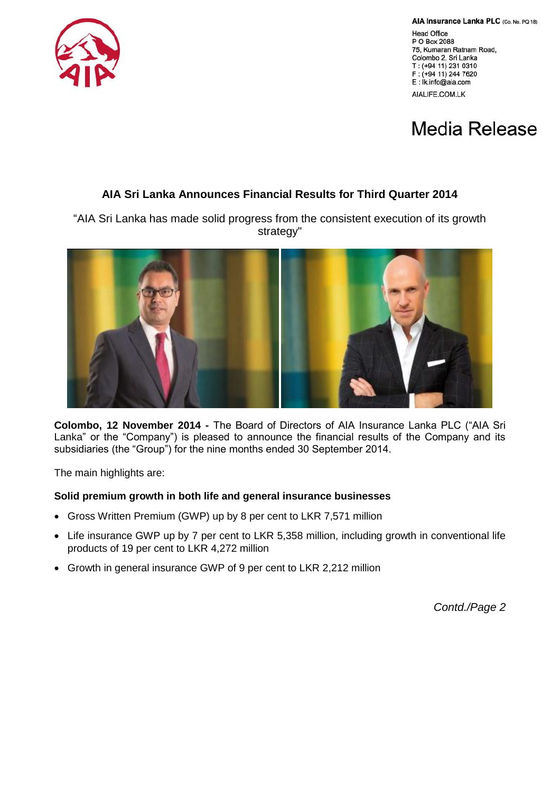AIA Insurance Lanka PLC (Co. No. PQ 18)

**Head Office** P O Box 2088 75, Kumaran Ratnam Road, Colombo 2, Sri Lanka T: (+94 11) 231 0310 F: (+94 11) 244 7620 E: Ik.info@aia.com AIALIFE.COM.LK



# **Media Release**

## **AIA Sri Lanka Announces Financial Results for Third Quarter 2014**

"AIA Sri Lanka has made solid progress from the consistent execution of its growth strategy"



**Colombo, 12 November 2014 -** The Board of Directors of AIA Insurance Lanka PLC ("AIA Sri Lanka" or the "Company") is pleased to announce the financial results of the Company and its subsidiaries (the "Group") for the nine months ended 30 September 2014.

The main highlights are:

### **Solid premium growth in both life and general insurance businesses**

- Gross Written Premium (GWP) up by 8 per cent to LKR 7,571 million
- Life insurance GWP up by 7 per cent to LKR 5,358 million, including growth in conventional life products of 19 per cent to LKR 4,272 million
- Growth in general insurance GWP of 9 per cent to LKR 2,212 million

*Contd./Page 2*